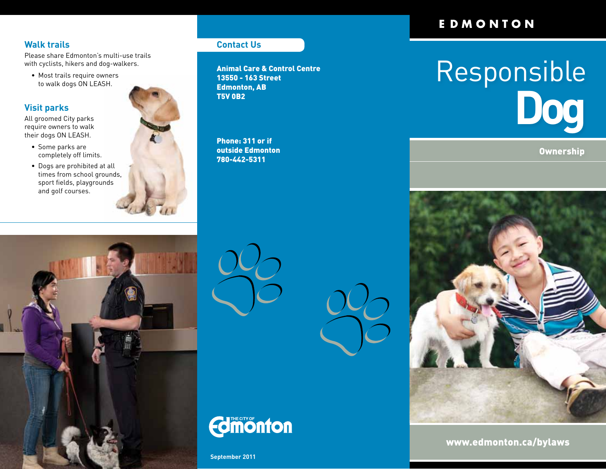### **Walk trails**

Please share Edmonton's multi-use trails with cyclists, hikers and dog-walkers.

• Most trails require owners to walk dogs ON LEASH.

#### **Visit parks**

All groomed City parks require owners to walk their dogs ON LEASH.

- Some parks are completely off limits.
- Dogs are prohibited at all times from school grounds, sport fields, playgrounds and golf courses.



#### **Contact Us**

Animal Care & Control Centre 13550 - 163 Street Edmonton, AB T5V 0B2

Phone: 311 or if outside Edmonton 780-442-5311

## EDMONTON

# Responsible **Dog**

**Ownership** 









**September 2011**